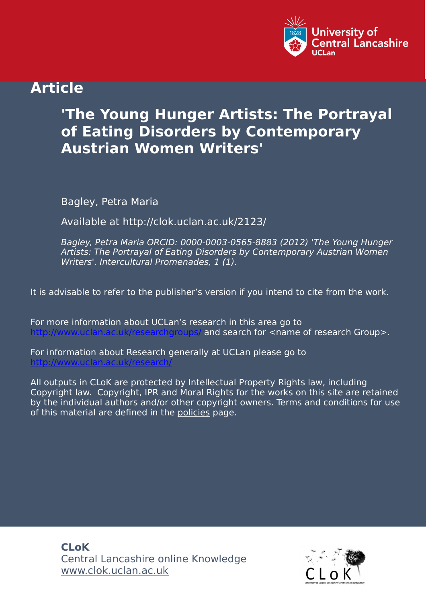

# **Article**

# **'The Young Hunger Artists: The Portrayal of Eating Disorders by Contemporary Austrian Women Writers'**

Bagley, Petra Maria

Available at http://clok.uclan.ac.uk/2123/

Bagley, Petra Maria ORCID: 0000-0003-0565-8883 (2012) 'The Young Hunger Artists: The Portrayal of Eating Disorders by Contemporary Austrian Women Writers'. Intercultural Promenades, 1 (1).

It is advisable to refer to the publisher's version if you intend to cite from the work.

For more information about UCLan's research in this area go to and search for <name of research Group>.

For information about Research generally at UCLan please go to <http://www.uclan.ac.uk/research/>

All outputs in CLoK are protected by Intellectual Property Rights law, including Copyright law. Copyright, IPR and Moral Rights for the works on this site are retained by the individual authors and/or other copyright owners. Terms and conditions for use of this material are defined in the [policies](https://clok.uclan.ac.uk/policies.html) page.

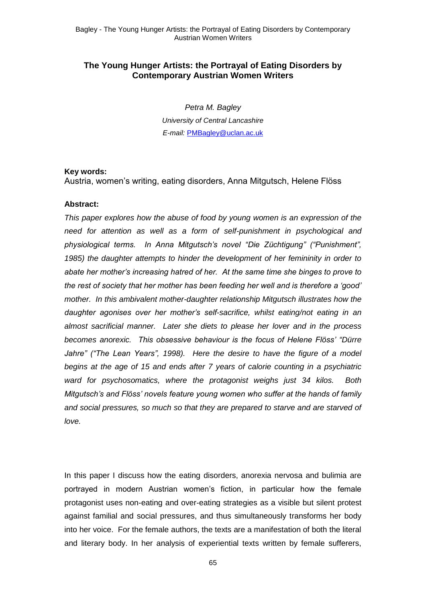*Petra M. Bagley University of Central Lancashire E-mail:* [PMBagley@uclan.ac.uk](mailto:PMBagley@uclan.ac.uk)

### **Key words:**

Austria, women's writing, eating disorders, Anna Mitgutsch, Helene Flöss

### **Abstract:**

*This paper explores how the abuse of food by young women is an expression of the need for attention as well as a form of self-punishment in psychological and physiological terms. In Anna Mitgutsch"s novel "Die Züchtigung" ("Punishment", 1985) the daughter attempts to hinder the development of her femininity in order to abate her mother"s increasing hatred of her. At the same time she binges to prove to the rest of society that her mother has been feeding her well and is therefore a "good" mother. In this ambivalent mother-daughter relationship Mitgutsch illustrates how the daughter agonises over her mother"s self-sacrifice, whilst eating/not eating in an almost sacrificial manner. Later she diets to please her lover and in the process becomes anorexic. This obsessive behaviour is the focus of Helene Flöss" "Dürre Jahre" ("The Lean Years", 1998). Here the desire to have the figure of a model begins at the age of 15 and ends after 7 years of calorie counting in a psychiatric ward for psychosomatics, where the protagonist weighs just 34 kilos. Both Mitgutsch"s and Flöss" novels feature young women who suffer at the hands of family and social pressures, so much so that they are prepared to starve and are starved of love.*

In this paper I discuss how the eating disorders, anorexia nervosa and bulimia are portrayed in modern Austrian women's fiction, in particular how the female protagonist uses non-eating and over-eating strategies as a visible but silent protest against familial and social pressures, and thus simultaneously transforms her body into her voice. For the female authors, the texts are a manifestation of both the literal and literary body. In her analysis of experiential texts written by female sufferers,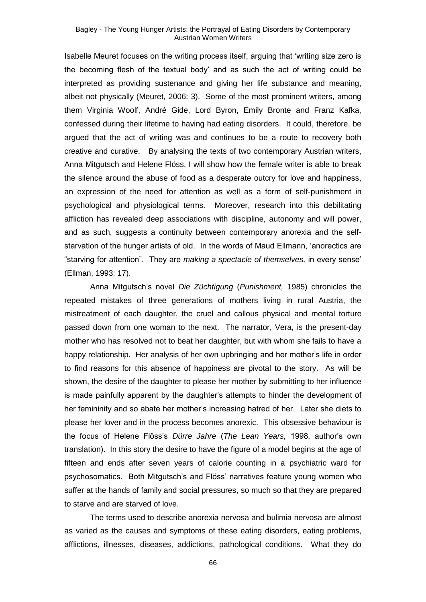Isabelle Meuret focuses on the writing process itself, arguing that 'writing size zero is the becoming flesh of the textual body' and as such the act of writing could be interpreted as providing sustenance and giving her life substance and meaning, albeit not physically (Meuret, 2006: 3). Some of the most prominent writers, among them Virginia Woolf, André Gide, Lord Byron, Emily Bronte and Franz Kafka, confessed during their lifetime to having had eating disorders. It could, therefore, be argued that the act of writing was and continues to be a route to recovery both creative and curative. By analysing the texts of two contemporary Austrian writers, Anna Mitgutsch and Helene Flöss, I will show how the female writer is able to break the silence around the abuse of food as a desperate outcry for love and happiness, an expression of the need for attention as well as a form of self-punishment in psychological and physiological terms. Moreover, research into this debilitating affliction has revealed deep associations with discipline, autonomy and will power, and as such, suggests a continuity between contemporary anorexia and the selfstarvation of the hunger artists of old. In the words of Maud Ellmann, 'anorectics are ―starving for attention‖. They are *making a spectacle of themselves,* in every sense' (Ellman, 1993: 17).

Anna Mitgutsch's novel *Die Züchtigung* (*Punishment,* 1985) chronicles the repeated mistakes of three generations of mothers living in rural Austria, the mistreatment of each daughter, the cruel and callous physical and mental torture passed down from one woman to the next. The narrator, Vera, is the present-day mother who has resolved not to beat her daughter, but with whom she fails to have a happy relationship. Her analysis of her own upbringing and her mother's life in order to find reasons for this absence of happiness are pivotal to the story. As will be shown, the desire of the daughter to please her mother by submitting to her influence is made painfully apparent by the daughter's attempts to hinder the development of her femininity and so abate her mother's increasing hatred of her. Later she diets to please her lover and in the process becomes anorexic. This obsessive behaviour is the focus of Helene Flöss's *Dürre Jahre* (*The Lean Years,* 1998, author's own translation). In this story the desire to have the figure of a model begins at the age of fifteen and ends after seven years of calorie counting in a psychiatric ward for psychosomatics. Both Mitgutsch's and Flöss' narratives feature young women who suffer at the hands of family and social pressures, so much so that they are prepared to starve and are starved of love.

The terms used to describe anorexia nervosa and bulimia nervosa are almost as varied as the causes and symptoms of these eating disorders, eating problems, afflictions, illnesses, diseases, addictions, pathological conditions. What they do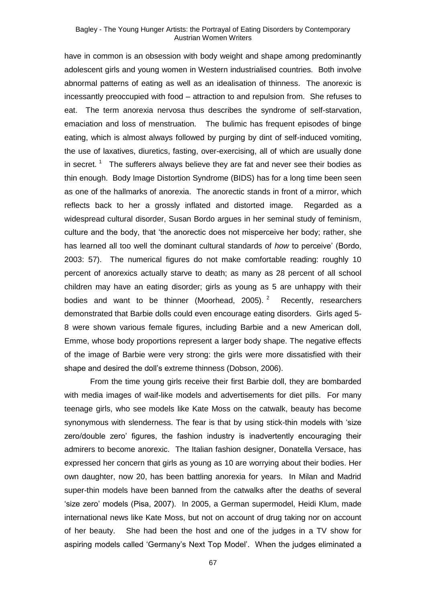have in common is an obsession with body weight and shape among predominantly adolescent girls and young women in Western industrialised countries. Both involve abnormal patterns of eating as well as an idealisation of thinness. The anorexic is incessantly preoccupied with food – attraction to and repulsion from. She refuses to eat. The term anorexia nervosa thus describes the syndrome of self-starvation, emaciation and loss of menstruation. The bulimic has frequent episodes of binge eating, which is almost always followed by purging by dint of self-induced vomiting, the use of laxatives, diuretics, fasting, over-exercising, all of which are usually done in secret.<sup>1</sup> The sufferers always believe they are fat and never see their bodies as thin enough. Body Image Distortion Syndrome (BIDS) has for a long time been seen as one of the hallmarks of anorexia. The anorectic stands in front of a mirror, which reflects back to her a grossly inflated and distorted image. Regarded as a widespread cultural disorder, Susan Bordo argues in her seminal study of feminism, culture and the body, that 'the anorectic does not misperceive her body; rather, she has learned all too well the dominant cultural standards of *how* to perceive' (Bordo, 2003: 57). The numerical figures do not make comfortable reading: roughly 10 percent of anorexics actually starve to death; as many as 28 percent of all school children may have an eating disorder; girls as young as 5 are unhappy with their bodies and want to be thinner (Moorhead, 2005).  $2$  Recently, researchers demonstrated that Barbie dolls could even encourage eating disorders. Girls aged 5- 8 were shown various female figures, including Barbie and a new American doll, Emme, whose body proportions represent a larger body shape. The negative effects of the image of Barbie were very strong: the girls were more dissatisfied with their shape and desired the doll's extreme thinness (Dobson, 2006).

From the time young girls receive their first Barbie doll, they are bombarded with media images of waif-like models and advertisements for diet pills. For many teenage girls, who see models like Kate Moss on the catwalk, beauty has become synonymous with slenderness. The fear is that by using stick-thin models with 'size zero/double zero' figures, the fashion industry is inadvertently encouraging their admirers to become anorexic. The Italian fashion designer, Donatella Versace, has expressed her concern that girls as young as 10 are worrying about their bodies. Her own daughter, now 20, has been battling anorexia for years. In Milan and Madrid super-thin models have been banned from the catwalks after the deaths of several ‗size zero' models (Pisa, 2007). In 2005, a German supermodel, Heidi Klum, made international news like Kate Moss, but not on account of drug taking nor on account of her beauty. She had been the host and one of the judges in a TV show for aspiring models called 'Germany's Next Top Model'. When the judges eliminated a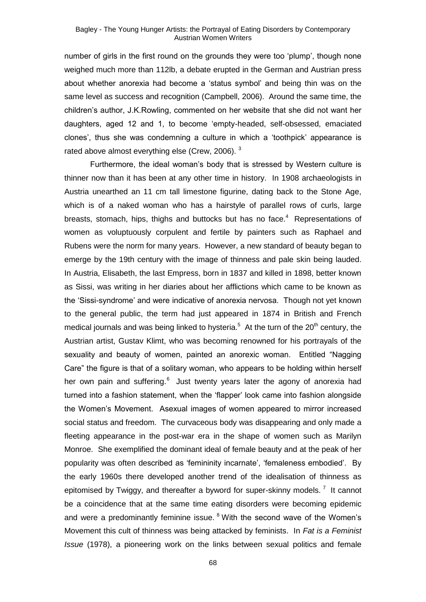number of girls in the first round on the grounds they were too 'plump', though none weighed much more than 112lb, a debate erupted in the German and Austrian press about whether anorexia had become a 'status symbol' and being thin was on the same level as success and recognition (Campbell, 2006). Around the same time, the children's author, J.K.Rowling, commented on her website that she did not want her daughters, aged 12 and 1, to become 'empty-headed, self-obsessed, emaciated clones', thus she was condemning a culture in which a 'toothpick' appearance is rated above almost everything else (Crew, 2006).  $3$ 

Furthermore, the ideal woman's body that is stressed by Western culture is thinner now than it has been at any other time in history. In 1908 archaeologists in Austria unearthed an 11 cm tall limestone figurine, dating back to the Stone Age, which is of a naked woman who has a hairstyle of parallel rows of curls, large breasts, stomach, hips, thighs and buttocks but has no face. $4$  Representations of women as voluptuously corpulent and fertile by painters such as Raphael and Rubens were the norm for many years. However, a new standard of beauty began to emerge by the 19th century with the image of thinness and pale skin being lauded. In Austria, Elisabeth, the last Empress, born in 1837 and killed in 1898, better known as Sissi, was writing in her diaries about her afflictions which came to be known as the ‗Sissi-syndrome' and were indicative of anorexia nervosa. Though not yet known to the general public, the term had just appeared in 1874 in British and French medical journals and was being linked to hysteria.<sup>5</sup> At the turn of the 20<sup>th</sup> century, the Austrian artist, Gustav Klimt, who was becoming renowned for his portrayals of the sexuality and beauty of women, painted an anorexic woman. Entitled "Nagging Care" the figure is that of a solitary woman, who appears to be holding within herself her own pain and suffering.<sup>6</sup> Just twenty years later the agony of anorexia had turned into a fashion statement, when the 'flapper' look came into fashion alongside the Women's Movement. Asexual images of women appeared to mirror increased social status and freedom. The curvaceous body was disappearing and only made a fleeting appearance in the post-war era in the shape of women such as Marilyn Monroe. She exemplified the dominant ideal of female beauty and at the peak of her popularity was often described as 'femininity incarnate', 'femaleness embodied'. By the early 1960s there developed another trend of the idealisation of thinness as epitomised by Twiggy, and thereafter a byword for super-skinny models.<sup>7</sup> It cannot be a coincidence that at the same time eating disorders were becoming epidemic and were a predominantly feminine issue.  $8$  With the second wave of the Women's Movement this cult of thinness was being attacked by feminists. In *Fat is a Feminist Issue* (1978), a pioneering work on the links between sexual politics and female

68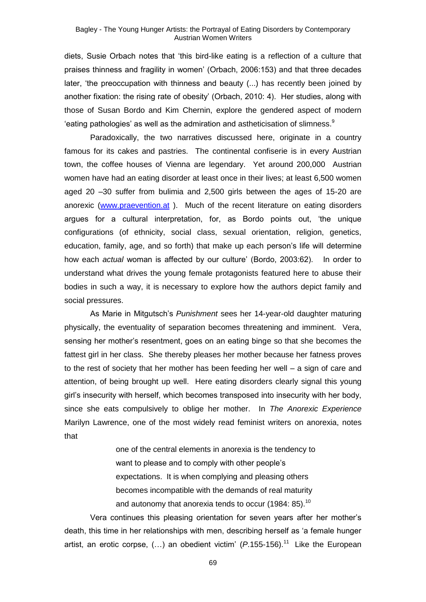diets, Susie Orbach notes that 'this bird-like eating is a reflection of a culture that praises thinness and fragility in women' (Orbach, 2006:153) and that three decades later, 'the preoccupation with thinness and beauty (...) has recently been joined by another fixation: the rising rate of obesity' (Orbach, 2010: 4). Her studies, along with those of Susan Bordo and Kim Chernin, explore the gendered aspect of modern 'eating pathologies' as well as the admiration and astheticisation of slimness. $9$ 

Paradoxically, the two narratives discussed here, originate in a country famous for its cakes and pastries. The continental confiserie is in every Austrian town, the coffee houses of Vienna are legendary. Yet around 200,000 Austrian women have had an eating disorder at least once in their lives; at least 6,500 women aged 20 –30 suffer from bulimia and 2,500 girls between the ages of 15-20 are anorexic [\(www.praevention.at](http://www.praevention.at/)). Much of the recent literature on eating disorders argues for a cultural interpretation, for, as Bordo points out, 'the unique configurations (of ethnicity, social class, sexual orientation, religion, genetics, education, family, age, and so forth) that make up each person's life will determine how each *actual* woman is affected by our culture' (Bordo, 2003:62). In order to understand what drives the young female protagonists featured here to abuse their bodies in such a way, it is necessary to explore how the authors depict family and social pressures.

As Marie in Mitgutsch's *Punishment* sees her 14-year-old daughter maturing physically, the eventuality of separation becomes threatening and imminent. Vera, sensing her mother's resentment, goes on an eating binge so that she becomes the fattest girl in her class. She thereby pleases her mother because her fatness proves to the rest of society that her mother has been feeding her well – a sign of care and attention, of being brought up well. Here eating disorders clearly signal this young girl's insecurity with herself, which becomes transposed into insecurity with her body, since she eats compulsively to oblige her mother. In *The Anorexic Experience* Marilyn Lawrence, one of the most widely read feminist writers on anorexia, notes that

> one of the central elements in anorexia is the tendency to want to please and to comply with other people's expectations. It is when complying and pleasing others becomes incompatible with the demands of real maturity and autonomy that anorexia tends to occur (1984: 85).<sup>10</sup>

Vera continues this pleasing orientation for seven years after her mother's death, this time in her relationships with men, describing herself as 'a female hunger artist, an erotic corpse, (...) an obedient victim' (P.155-156).<sup>11</sup> Like the European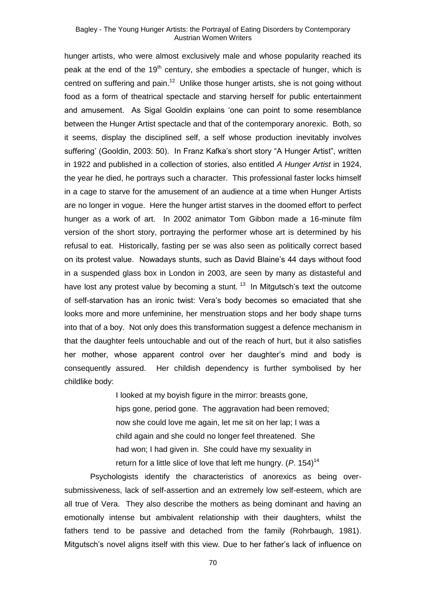hunger artists, who were almost exclusively male and whose popularity reached its peak at the end of the 19<sup>th</sup> century, she embodies a spectacle of hunger, which is centred on suffering and pain.<sup>12</sup> Unlike those hunger artists, she is not going without food as a form of theatrical spectacle and starving herself for public entertainment and amusement. As Sigal Gooldin explains 'one can point to some resemblance between the Hunger Artist spectacle and that of the contemporary anorexic. Both, so it seems, display the disciplined self, a self whose production inevitably involves suffering' (Gooldin, 2003: 50). In Franz Kafka's short story "A Hunger Artist", written in 1922 and published in a collection of stories, also entitled *A Hunger Artist* in 1924, the year he died, he portrays such a character. This professional faster locks himself in a cage to starve for the amusement of an audience at a time when Hunger Artists are no longer in vogue. Here the hunger artist starves in the doomed effort to perfect hunger as a work of art. In 2002 animator Tom Gibbon made a 16-minute film version of the short story, portraying the performer whose art is determined by his refusal to eat. Historically, fasting per se was also seen as politically correct based on its protest value. Nowadays stunts, such as David Blaine's 44 days without food in a suspended glass box in London in 2003, are seen by many as distasteful and have lost any protest value by becoming a stunt.  $13$  In Mitgutsch's text the outcome of self-starvation has an ironic twist: Vera's body becomes so emaciated that she looks more and more unfeminine, her menstruation stops and her body shape turns into that of a boy. Not only does this transformation suggest a defence mechanism in that the daughter feels untouchable and out of the reach of hurt, but it also satisfies her mother, whose apparent control over her daughter's mind and body is consequently assured. Her childish dependency is further symbolised by her childlike body:

> I looked at my boyish figure in the mirror: breasts gone, hips gone, period gone. The aggravation had been removed; now she could love me again, let me sit on her lap; I was a child again and she could no longer feel threatened. She had won; I had given in. She could have my sexuality in return for a little slice of love that left me hungry.  $(P. 154)^{14}$

Psychologists identify the characteristics of anorexics as being oversubmissiveness, lack of self-assertion and an extremely low self-esteem, which are all true of Vera. They also describe the mothers as being dominant and having an emotionally intense but ambivalent relationship with their daughters, whilst the fathers tend to be passive and detached from the family (Rohrbaugh, 1981). Mitgutsch's novel aligns itself with this view. Due to her father's lack of influence on

70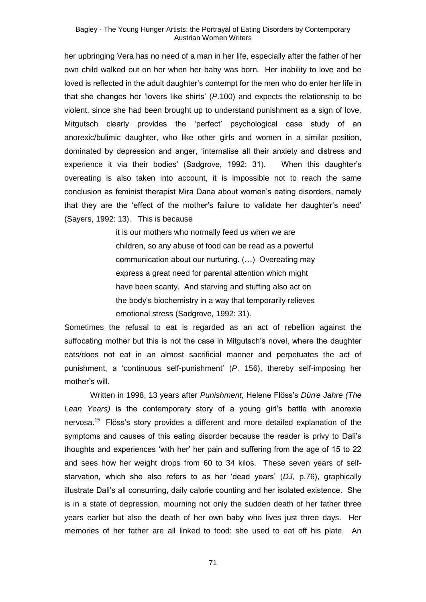her upbringing Vera has no need of a man in her life, especially after the father of her own child walked out on her when her baby was born. Her inability to love and be loved is reflected in the adult daughter's contempt for the men who do enter her life in that she changes her 'lovers like shirts' (*P*.100) and expects the relationship to be violent, since she had been brought up to understand punishment as a sign of love. Mitgutsch clearly provides the 'perfect' psychological case study of an anorexic/bulimic daughter, who like other girls and women in a similar position, dominated by depression and anger, 'internalise all their anxiety and distress and experience it via their bodies' (Sadgrove, 1992: 31). When this daughter's overeating is also taken into account, it is impossible not to reach the same conclusion as feminist therapist Mira Dana about women's eating disorders, namely that they are the 'effect of the mother's failure to validate her daughter's need' (Sayers, 1992: 13). This is because

> it is our mothers who normally feed us when we are children, so any abuse of food can be read as a powerful communication about our nurturing. (…) Overeating may express a great need for parental attention which might have been scanty. And starving and stuffing also act on the body's biochemistry in a way that temporarily relieves emotional stress (Sadgrove, 1992: 31).

Sometimes the refusal to eat is regarded as an act of rebellion against the suffocating mother but this is not the case in Mitgutsch's novel, where the daughter eats/does not eat in an almost sacrificial manner and perpetuates the act of punishment, a ‗continuous self-punishment' (*P*. 156), thereby self-imposing her mother's will.

Written in 1998, 13 years after *Punishment*, Helene Flöss's *Dürre Jahre (The Lean Years)* is the contemporary story of a young girl's battle with anorexia nervosa.<sup>15</sup> Flöss's story provides a different and more detailed explanation of the symptoms and causes of this eating disorder because the reader is privy to Dali's thoughts and experiences 'with her' her pain and suffering from the age of 15 to 22 and sees how her weight drops from 60 to 34 kilos. These seven years of selfstarvation, which she also refers to as her 'dead years' (DJ, p.76), graphically illustrate Dali's all consuming, daily calorie counting and her isolated existence. She is in a state of depression, mourning not only the sudden death of her father three years earlier but also the death of her own baby who lives just three days. Her memories of her father are all linked to food: she used to eat off his plate. An

71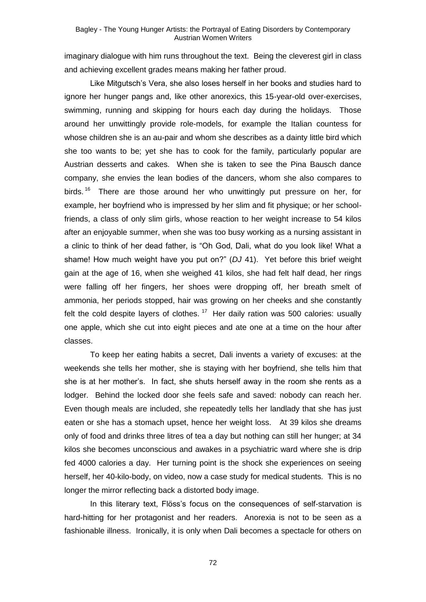imaginary dialogue with him runs throughout the text. Being the cleverest girl in class and achieving excellent grades means making her father proud.

Like Mitgutsch's Vera, she also loses herself in her books and studies hard to ignore her hunger pangs and, like other anorexics, this 15-year-old over-exercises, swimming, running and skipping for hours each day during the holidays. Those around her unwittingly provide role-models, for example the Italian countess for whose children she is an au-pair and whom she describes as a dainty little bird which she too wants to be; yet she has to cook for the family, particularly popular are Austrian desserts and cakes. When she is taken to see the Pina Bausch dance company, she envies the lean bodies of the dancers, whom she also compares to birds.<sup>16</sup> There are those around her who unwittingly put pressure on her, for example, her boyfriend who is impressed by her slim and fit physique; or her schoolfriends, a class of only slim girls, whose reaction to her weight increase to 54 kilos after an enjoyable summer, when she was too busy working as a nursing assistant in a clinic to think of her dead father, is "Oh God, Dali, what do you look like! What a shame! How much weight have you put on?" (DJ 41). Yet before this brief weight gain at the age of 16, when she weighed 41 kilos, she had felt half dead, her rings were falling off her fingers, her shoes were dropping off, her breath smelt of ammonia, her periods stopped, hair was growing on her cheeks and she constantly felt the cold despite layers of clothes.  $17$  Her daily ration was 500 calories: usually one apple, which she cut into eight pieces and ate one at a time on the hour after classes.

To keep her eating habits a secret, Dali invents a variety of excuses: at the weekends she tells her mother, she is staying with her boyfriend, she tells him that she is at her mother's. In fact, she shuts herself away in the room she rents as a lodger. Behind the locked door she feels safe and saved: nobody can reach her. Even though meals are included, she repeatedly tells her landlady that she has just eaten or she has a stomach upset, hence her weight loss. At 39 kilos she dreams only of food and drinks three litres of tea a day but nothing can still her hunger; at 34 kilos she becomes unconscious and awakes in a psychiatric ward where she is drip fed 4000 calories a day. Her turning point is the shock she experiences on seeing herself, her 40-kilo-body, on video, now a case study for medical students. This is no longer the mirror reflecting back a distorted body image.

In this literary text, Flöss's focus on the consequences of self-starvation is hard-hitting for her protagonist and her readers. Anorexia is not to be seen as a fashionable illness. Ironically, it is only when Dali becomes a spectacle for others on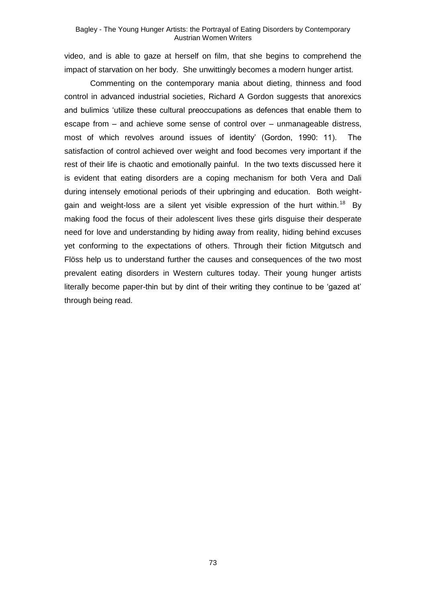video, and is able to gaze at herself on film, that she begins to comprehend the impact of starvation on her body. She unwittingly becomes a modern hunger artist.

Commenting on the contemporary mania about dieting, thinness and food control in advanced industrial societies, Richard A Gordon suggests that anorexics and bulimics ‗utilize these cultural preoccupations as defences that enable them to escape from – and achieve some sense of control over – unmanageable distress, most of which revolves around issues of identity' (Gordon, 1990: 11). The satisfaction of control achieved over weight and food becomes very important if the rest of their life is chaotic and emotionally painful. In the two texts discussed here it is evident that eating disorders are a coping mechanism for both Vera and Dali during intensely emotional periods of their upbringing and education. Both weightgain and weight-loss are a silent yet visible expression of the hurt within.<sup>18</sup> By making food the focus of their adolescent lives these girls disguise their desperate need for love and understanding by hiding away from reality, hiding behind excuses yet conforming to the expectations of others. Through their fiction Mitgutsch and Flöss help us to understand further the causes and consequences of the two most prevalent eating disorders in Western cultures today. Their young hunger artists literally become paper-thin but by dint of their writing they continue to be 'gazed at' through being read.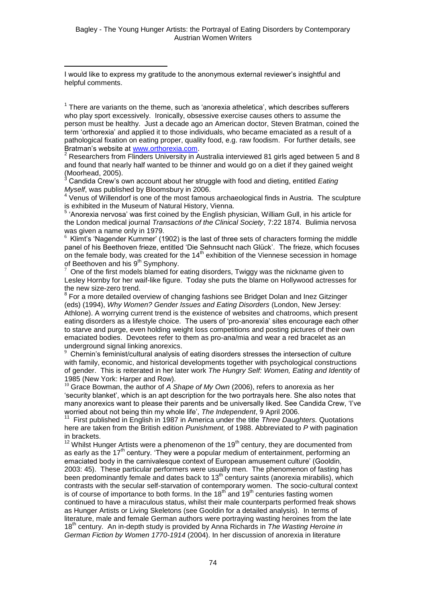I would like to express my gratitude to the anonymous external reviewer's insightful and helpful comments.

1

 $1$  There are variants on the theme, such as 'anorexia atheletica', which describes sufferers who play sport excessively. Ironically, obsessive exercise causes others to assume the person must be healthy. Just a decade ago an American doctor, Steven Bratman, coined the term ‗orthorexia' and applied it to those individuals, who became emaciated as a result of a pathological fixation on eating proper, quality food, e.g. raw foodism. For further details, see Bratman's website at [www.orthorexia.com.](http://www.orthorexia.com/)

<sup>2</sup> Researchers from Flinders University in Australia interviewed 81 girls aged between 5 and 8 and found that nearly half wanted to be thinner and would go on a diet if they gained weight (Moorhead, 2005).

<sup>3</sup> Candida Crew's own account about her struggle with food and dieting, entitled *Eating Myself*, was published by Bloomsbury in 2006.

<sup>4</sup> Venus of Willendorf is one of the most famous archaeological finds in Austria. The sculpture is exhibited in the Museum of Natural History, Vienna.

<sup>5</sup> 'Anorexia nervosa' was first coined by the English physician, William Gull, in his article for the London medical journal *Transactions of the Clinical Society*, 7:22 1874. Bulimia nervosa was given a name only in 1979.

 $6$  Klimt's 'Nagender Kummer' (1902) is the last of three sets of characters forming the middle panel of his Beethoven frieze, entitled ‗Die Sehnsucht nach Glück'. The frieze, which focuses on the female body, was created for the 14<sup>th</sup> exhibition of the Viennese secession in homage of Beethoven and his 9<sup>th</sup> Symphony.

<sup>7</sup> One of the first models blamed for eating disorders, Twiggy was the nickname given to Lesley Hornby for her waif-like figure. Today she puts the blame on Hollywood actresses for the new size-zero trend.

<sup>8</sup> For a more detailed overview of changing fashions see Bridget Dolan and Inez Gitzinger (eds) (1994), *Why Women? Gender Issues and Eating Disorders* (London, New Jersey: Athlone). A worrying current trend is the existence of websites and chatrooms, which present eating disorders as a lifestyle choice. The users of 'pro-anorexia' sites encourage each other to starve and purge, even holding weight loss competitions and posting pictures of their own emaciated bodies. Devotees refer to them as pro-ana/mia and wear a red bracelet as an underground signal linking anorexics.

<sup>9</sup> Chernin's feminist/cultural analysis of eating disorders stresses the intersection of culture with family, economic, and historical developments together with psychological constructions of gender. This is reiterated in her later work *The Hungry Self: Women, Eating and Identity* of 1985 (New York: Harper and Row).

<sup>10</sup> Grace Bowman, the author of A Shape of My Own (2006), refers to anorexia as her ‗security blanket', which is an apt description for the two portrayals here. She also notes that many anorexics want to please their parents and be universally liked. See Candida Crew, 'I've worried about not being thin my whole life', *The Independent*, 9 April 2006.

<sup>11</sup> First published in English in 1987 in America under the title *Three Daughters*. Quotations here are taken from the British edition *Punishment,* of 1988. Abbreviated to *P* with pagination in brackets.

 $12$  Whilst Hunger Artists were a phenomenon of the 19<sup>th</sup> century, they are documented from as early as the  $17<sup>th</sup>$  century. They were a popular medium of entertainment, performing an emaciated body in the carnivalesque context of European amusement culture' (Gooldin, 2003: 45). These particular performers were usually men. The phenomenon of fasting has been predominantly female and dates back to  $13<sup>th</sup>$  century saints (anorexia mirabilis), which contrasts with the secular self-starvation of contemporary women. The socio-cultural context is of course of importance to both forms. In the  $18<sup>th</sup>$  and  $19<sup>th</sup>$  centuries fasting women continued to have a miraculous status, whilst their male counterparts performed freak shows as Hunger Artists or Living Skeletons (see Gooldin for a detailed analysis). In terms of literature, male and female German authors were portraying wasting heroines from the late 18th century. An in-depth study is provided by Anna Richards in *The Wasting Heroine in German Fiction by Women 1770-1914* (2004). In her discussion of anorexia in literature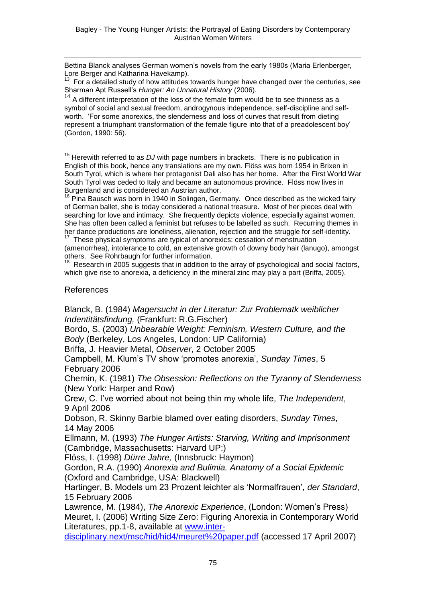Bettina Blanck analyses German women's novels from the early 1980s (Maria Erlenberger, Lore Berger and Katharina Havekamp).

 $13$  For a detailed study of how attitudes towards hunger have changed over the centuries, see Sharman Apt Russell's *Hunger: An Unnatural History* (2006).

 $14$  A different interpretation of the loss of the female form would be to see thinness as a symbol of social and sexual freedom, androgynous independence, self-discipline and selfworth. 'For some anorexics, the slenderness and loss of curves that result from dieting represent a triumphant transformation of the female figure into that of a preadolescent boy' (Gordon, 1990: 56).

<sup>15</sup> Herewith referred to as *DJ* with page numbers in brackets. There is no publication in English of this book, hence any translations are my own. Flöss was born 1954 in Brixen in South Tyrol, which is where her protagonist Dali also has her home. After the First World War South Tyrol was ceded to Italy and became an autonomous province. Flöss now lives in Burgenland and is considered an Austrian author.

 $16$  Pina Bausch was born in 1940 in Solingen, Germany. Once described as the wicked fairy of German ballet, she is today considered a national treasure. Most of her pieces deal with searching for love and intimacy. She frequently depicts violence, especially against women. She has often been called a feminist but refuses to be labelled as such. Recurring themes in her dance productions are loneliness, alienation, rejection and the struggle for self-identity. 17

 These physical symptoms are typical of anorexics: cessation of menstruation (amenorrhea), intolerance to cold, an extensive growth of downy body hair (lanugo), amongst others. See Rohrbaugh for further information.<br><sup>18</sup> Bessersh in 2005 quasasts that in addition t

 Research in 2005 suggests that in addition to the array of psychological and social factors, which give rise to anorexia, a deficiency in the mineral zinc may play a part (Briffa, 2005).

## References

<u>.</u>

Blanck, B. (1984) *Magersucht in der Literatur: Zur Problematk weiblicher Indentitätsfindung,* (Frankfurt: R.G.Fischer)

Bordo, S. (2003) *Unbearable Weight: Feminism, Western Culture, and the Body* (Berkeley, Los Angeles, London: UP California)

Briffa, J. Heavier Metal, *Observer*, 2 October 2005

Campbell, M. Klum's TV show 'promotes anorexia', *Sunday Times*, 5 February 2006

Chernin, K. (1981) *The Obsession: Reflections on the Tyranny of Slenderness* (New York: Harper and Row)

Crew, C. I've worried about not being thin my whole life, *The Independent*, 9 April 2006

Dobson, R. Skinny Barbie blamed over eating disorders, *Sunday Times*, 14 May 2006

Ellmann, M. (1993) *The Hunger Artists: Starving, Writing and Imprisonment* (Cambridge, Massachusetts: Harvard UP:)

Flöss, I. (1998) *Dürre Jahre,* (Innsbruck: Haymon)

Gordon, R.A. (1990) *Anorexia and Bulimia. Anatomy of a Social Epidemic*  (Oxford and Cambridge, USA: Blackwell)

Hartinger, B. Models um 23 Prozent leichter als ‗Normalfrauen', *der Standard*, 15 February 2006

Lawrence, M. (1984), *The Anorexic Experience*, (London: Women's Press) Meuret, I. (2006) Writing Size Zero: Figuring Anorexia in Contemporary World Literatures, pp.1-8, available at [www.inter-](http://www.inter-disciplinary.next/msc/hid/hid4/meuret%20paper.pdf)

[disciplinary.next/msc/hid/hid4/meuret%20paper.pdf](http://www.inter-disciplinary.next/msc/hid/hid4/meuret%20paper.pdf) (accessed 17 April 2007)